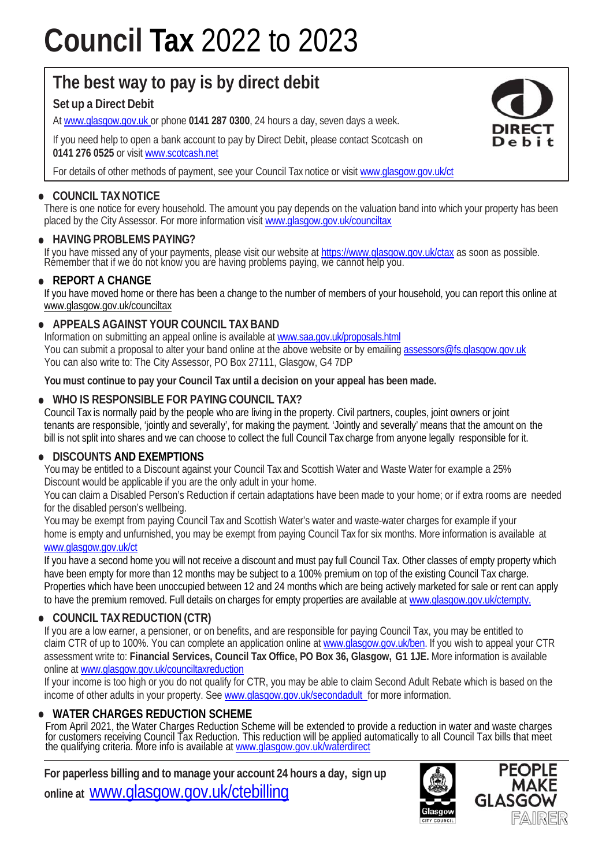# **Council Tax** 2022 to 2023

## **The best way to pay is by direct debit**

### **Set up a Direct Debit**

At www.glasgow.gov.uk or phone **0141 287 0300**, 24 hours a day, seven days a week.

If you need help to open a bank account to pay by Direct Debit, please contact Scotcash on **0141 276 0525** or visit www.scotcash.net

For details of other methods of payment, see your Council Tax notice or visit www.glasgow.gov.uk/ct

#### **• COUNCIL TAX NOTICE**

There is one notice for every household. The amount you pay depends on the valuation band into which your property has been placed by the City Assessor. For more information visit www.glasgow.gov.uk/counciltax

#### **• HAVING PROBLEMS PAYING?**

If you have missed any of your payments, please visit our website at https://www.glasgow.gov.uk/ctax as soon as possible.<br>Remember that if we do not know you are having problems paying, we cannot help you.

#### **• REPORT A CHANGE**

If you have moved home or there has been a change to the number of members of your household, you can report this online at www.glasgow.gov.uk/counciltax

#### **• APPEALS AGAINST YOUR COUNCIL TAX BAND**

Information on submitting an appeal online is available at www.saa.gov.uk/proposals.html You can submit a proposal to alter your band online at the above website or by emailing assessors@fs.glasgow.gov.uk You can also write to: The City Assessor, PO Box 27111, Glasgow, G4 7DP

**You must continue to pay your Council Tax until a decision on your appeal has been made.**

#### **• WHO IS RESPONSIBLE FOR PAYING COUNCIL TAX?**

Council Tax is normally paid by the people who are living in the property. Civil partners, couples, joint owners or joint tenants are responsible, 'jointly and severally', for making the payment. 'Jointly and severally' means that the amount on the bill is not split into shares and we can choose to collect the full Council Tax charge from anyone legally responsible for it.

#### **• DISCOUNTS AND EXEMPTIONS**

You may be entitled to a Discount against your Council Tax and Scottish Water and Waste Water for example a 25% Discount would be applicable if you are the only adult in your home.

You can claim a Disabled Person's Reduction if certain adaptations have been made to your home; or if extra rooms are needed for the disabled person's wellbeing.

You may be exempt from paying Council Tax and Scottish Water's water and waste-water charges for example if your home is empty and unfurnished, you may be exempt from paying Council Tax for six months. More information is available at www.glasgow.gov.uk/ct

If you have a second home you will not receive a discount and must pay full Council Tax. Other classes of empty property which have been empty for more than 12 months may be subject to a 100% premium on top of the existing Council Tax charge. Properties which have been unoccupied between 12 and 24 months which are being actively marketed for sale or rent can apply to have the premium removed. Full details on charges for empty properties are available at www.qlasgow.gov.uk/ctempty.

#### **• COUNCIL TAX REDUCTION (CTR)**

If you are a low earner, a pensioner, or on benefits, and are responsible for paying Council Tax, you may be entitled to claim CTR of up to 100%. You can complete an application online at www.glasgow.gov.uk/ben. If you wish to appeal your CTR assessment write to: **Financial Services, Council Tax Office, PO Box 36, Glasgow, G1 1JE.** More information is available online at www.glasgow.gov.uk/counciltaxreduction

If your income is too high or you do not qualify for CTR, you may be able to claim Second Adult Rebate which is based on the income of other adults in your property. See www.glasgow.gov.uk/secondadult for more information.

#### **• WATER CHARGES REDUCTION SCHEME**

From April 2021, the Water Charges Reduction Scheme will be extended to provide a reduction in water and waste charges for customers receiving Council Tax Reduction. This reduction will be applied automatically to all Council Tax bills that meet<br>the qualifying criteria. More info is available at <u>www.glasgow.gov.uk/waterdirect</u>

**For paperless billing and to manage your account 24 hours a day, sign up online at** www.glasgow.gov.uk/ctebilling